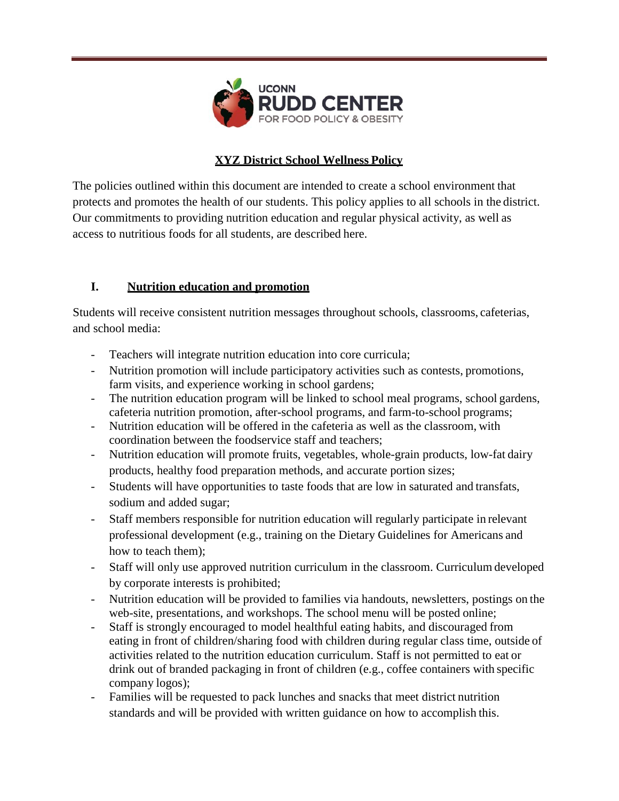

## **XYZ District School Wellness Policy**

The policies outlined within this document are intended to create a school environment that protects and promotes the health of our students. This policy applies to all schools in the district. Our commitments to providing nutrition education and regular physical activity, as well as access to nutritious foods for all students, are described here.

## **I. Nutrition education and promotion**

Students will receive consistent nutrition messages throughout schools, classrooms, cafeterias, and school media:

- Teachers will integrate nutrition education into core curricula;
- Nutrition promotion will include participatory activities such as contests, promotions, farm visits, and experience working in school gardens;
- The nutrition education program will be linked to school meal programs, school gardens, cafeteria nutrition promotion, after-school programs, and farm-to-school programs;
- Nutrition education will be offered in the cafeteria as well as the classroom, with coordination between the foodservice staff and teachers;
- Nutrition education will promote fruits, vegetables, whole-grain products, low-fat dairy products, healthy food preparation methods, and accurate portion sizes;
- Students will have opportunities to taste foods that are low in saturated and transfats, sodium and added sugar;
- Staff members responsible for nutrition education will regularly participate in relevant professional development (e.g., training on the Dietary Guidelines for Americans and how to teach them);
- Staff will only use approved nutrition curriculum in the classroom. Curriculum developed by corporate interests is prohibited;
- Nutrition education will be provided to families via handouts, newsletters, postings on the web-site, presentations, and workshops. The school menu will be posted online;
- Staff is strongly encouraged to model healthful eating habits, and discouraged from eating in front of children/sharing food with children during regular class time, outside of activities related to the nutrition education curriculum. Staff is not permitted to eat or drink out of branded packaging in front of children (e.g., coffee containers with specific company logos);
- Families will be requested to pack lunches and snacks that meet district nutrition standards and will be provided with written guidance on how to accomplish this.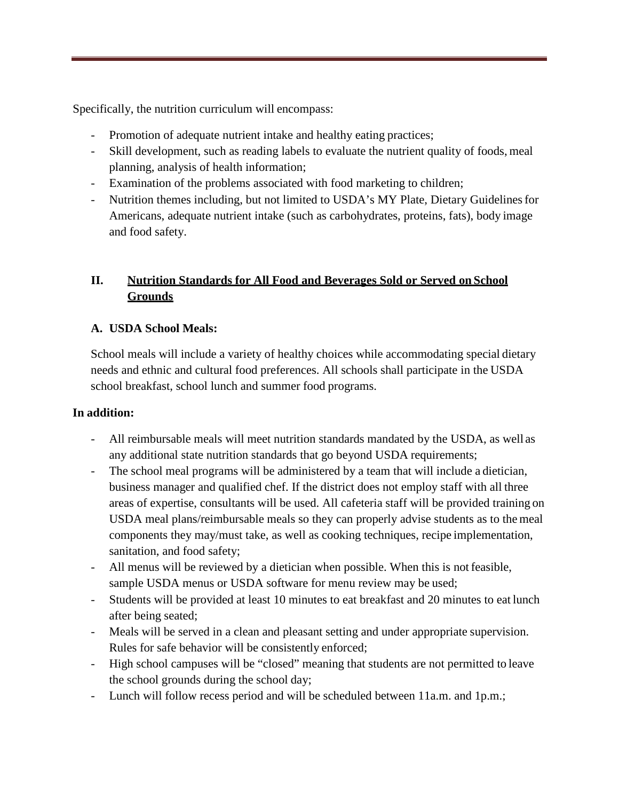Specifically, the nutrition curriculum will encompass:

- Promotion of adequate nutrient intake and healthy eating practices;
- Skill development, such as reading labels to evaluate the nutrient quality of foods, meal planning, analysis of health information;
- Examination of the problems associated with food marketing to children;
- Nutrition themes including, but not limited to USDA's MY Plate, Dietary Guidelines for Americans, adequate nutrient intake (such as carbohydrates, proteins, fats), body image and food safety.

## **II. Nutrition Standards for All Food and Beverages Sold or Served on School Grounds**

### **A. USDA School Meals:**

School meals will include a variety of healthy choices while accommodating special dietary needs and ethnic and cultural food preferences. All schools shall participate in the USDA school breakfast, school lunch and summer food programs.

#### **In addition:**

- All reimbursable meals will meet nutrition standards mandated by the USDA, as well as any additional state nutrition standards that go beyond USDA requirements;
- The school meal programs will be administered by a team that will include a dietician, business manager and qualified chef. If the district does not employ staff with all three areas of expertise, consultants will be used. All cafeteria staff will be provided training on USDA meal plans/reimbursable meals so they can properly advise students as to the meal components they may/must take, as well as cooking techniques, recipe implementation, sanitation, and food safety;
- All menus will be reviewed by a dietician when possible. When this is not feasible, sample USDA menus or USDA software for menu review may be used;
- Students will be provided at least 10 minutes to eat breakfast and 20 minutes to eat lunch after being seated;
- Meals will be served in a clean and pleasant setting and under appropriate supervision. Rules for safe behavior will be consistently enforced;
- High school campuses will be "closed" meaning that students are not permitted to leave the school grounds during the school day;
- Lunch will follow recess period and will be scheduled between 11a.m. and 1p.m.;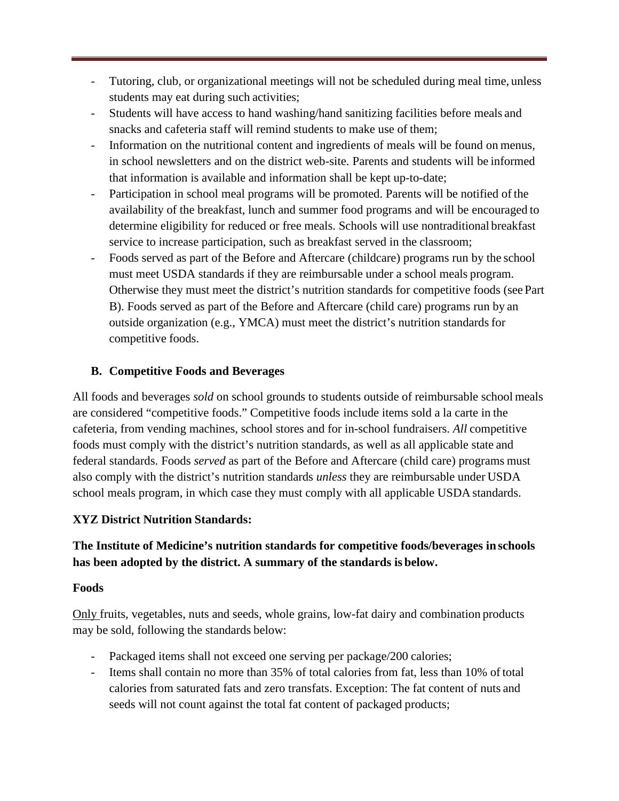- Tutoring, club, or organizational meetings will not be scheduled during meal time, unless students may eat during such activities;
- Students will have access to hand washing/hand sanitizing facilities before meals and snacks and cafeteria staff will remind students to make use of them;
- Information on the nutritional content and ingredients of meals will be found on menus, in school newsletters and on the district web-site. Parents and students will be informed that information is available and information shall be kept up-to-date;
- Participation in school meal programs will be promoted. Parents will be notified of the availability of the breakfast, lunch and summer food programs and will be encouraged to determine eligibility for reduced or free meals. Schools will use nontraditional breakfast service to increase participation, such as breakfast served in the classroom;
- Foods served as part of the Before and Aftercare (childcare) programs run by the school must meet USDA standards if they are reimbursable under a school meals program. Otherwise they must meet the district's nutrition standards for competitive foods (see Part B). Foods served as part of the Before and Aftercare (child care) programs run by an outside organization (e.g., YMCA) must meet the district's nutrition standards for competitive foods.

### **B. Competitive Foods and Beverages**

All foods and beverages *sold* on school grounds to students outside of reimbursable school meals are considered "competitive foods." Competitive foods include items sold a la carte in the cafeteria, from vending machines, school stores and for in-school fundraisers. *All* competitive foods must comply with the district's nutrition standards, as well as all applicable state and federal standards. Foods *served* as part of the Before and Aftercare (child care) programs must also comply with the district's nutrition standards *unless* they are reimbursable under USDA school meals program, in which case they must comply with all applicable USDA standards.

### **XYZ District Nutrition Standards:**

## **The Institute of Medicine's nutrition standards for competitive foods/beverages in schools has been adopted by the district. A summary of the standards is below.**

#### **Foods**

Only fruits, vegetables, nuts and seeds, whole grains, low-fat dairy and combination products may be sold, following the standards below:

- Packaged items shall not exceed one serving per package/200 calories;
- Items shall contain no more than 35% of total calories from fat, less than 10% of total calories from saturated fats and zero transfats. Exception: The fat content of nuts and seeds will not count against the total fat content of packaged products;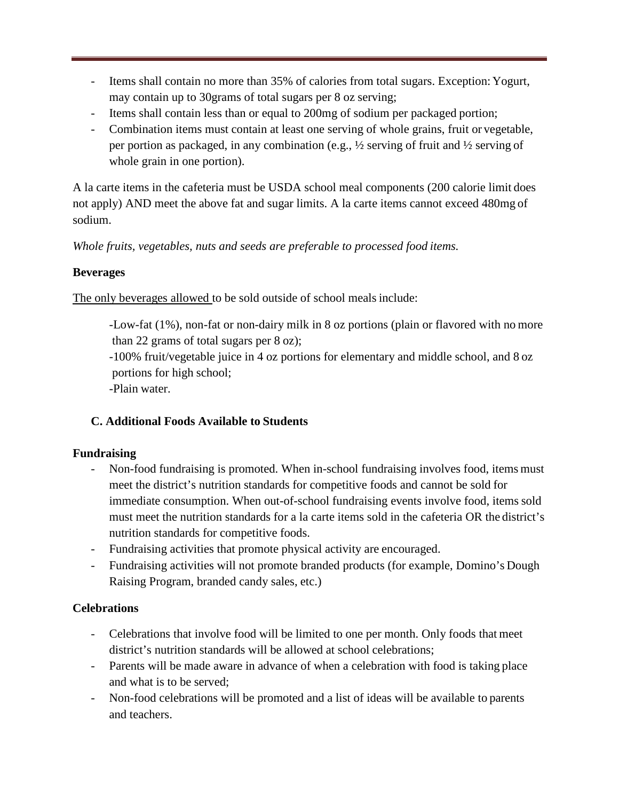- Items shall contain no more than 35% of calories from total sugars. Exception: Yogurt, may contain up to 30grams of total sugars per 8 oz serving;
- Items shall contain less than or equal to 200mg of sodium per packaged portion;
- Combination items must contain at least one serving of whole grains, fruit or vegetable, per portion as packaged, in any combination (e.g.,  $\frac{1}{2}$  serving of fruit and  $\frac{1}{2}$  serving of whole grain in one portion).

A la carte items in the cafeteria must be USDA school meal components (200 calorie limit does not apply) AND meet the above fat and sugar limits. A la carte items cannot exceed 480mg of sodium.

*Whole fruits, vegetables, nuts and seeds are preferable to processed food items.*

### **Beverages**

The only beverages allowed to be sold outside of school mealsinclude:

-Low-fat (1%), non-fat or non-dairy milk in 8 oz portions (plain or flavored with no more than 22 grams of total sugars per 8 oz);

-100% fruit/vegetable juice in 4 oz portions for elementary and middle school, and 8 oz portions for high school;

-Plain water.

# **C. Additional Foods Available to Students**

# **Fundraising**

- Non-food fundraising is promoted. When in-school fundraising involves food, items must meet the district's nutrition standards for competitive foods and cannot be sold for immediate consumption. When out-of-school fundraising events involve food, items sold must meet the nutrition standards for a la carte items sold in the cafeteria OR the district's nutrition standards for competitive foods.
- Fundraising activities that promote physical activity are encouraged.
- Fundraising activities will not promote branded products (for example, Domino's Dough Raising Program, branded candy sales, etc.)

# **Celebrations**

- Celebrations that involve food will be limited to one per month. Only foods that meet district's nutrition standards will be allowed at school celebrations;
- Parents will be made aware in advance of when a celebration with food is taking place and what is to be served;
- Non-food celebrations will be promoted and a list of ideas will be available to parents and teachers.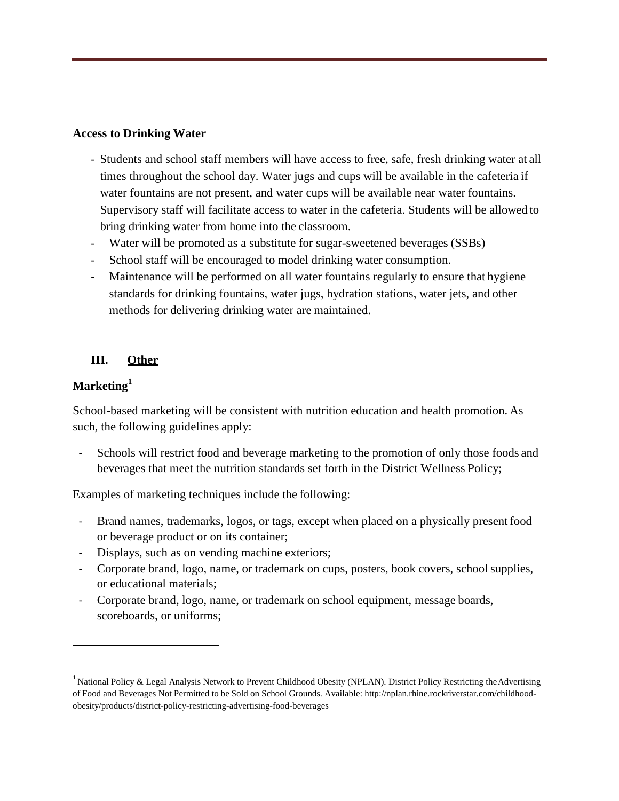#### **Access to Drinking Water**

- Students and school staff members will have access to free, safe, fresh drinking water at all times throughout the school day. Water jugs and cups will be available in the cafeteria if water fountains are not present, and water cups will be available near water fountains. Supervisory staff will facilitate access to water in the cafeteria. Students will be allowed to bring drinking water from home into the classroom.
- Water will be promoted as a substitute for sugar-sweetened beverages (SSBs)
- School staff will be encouraged to model drinking water consumption.
- Maintenance will be performed on all water fountains regularly to ensure that hygiene standards for drinking fountains, water jugs, hydration stations, water jets, and other methods for delivering drinking water are maintained.

### **III. Other**

### **Marketin[g1](#page-4-0)**

School-based marketing will be consistent with nutrition education and health promotion. As such, the following guidelines apply:

- Schools will restrict food and beverage marketing to the promotion of only those foods and beverages that meet the nutrition standards set forth in the District Wellness Policy;

Examples of marketing techniques include the following:

- Brand names, trademarks, logos, or tags, except when placed on a physically present food or beverage product or on its container;
- Displays, such as on vending machine exteriors;
- Corporate brand, logo, name, or trademark on cups, posters, book covers, school supplies, or educational materials;
- Corporate brand, logo, name, or trademark on school equipment, message boards, scoreboards, or uniforms;

<span id="page-4-0"></span><sup>&</sup>lt;sup>1</sup> National Policy & Legal Analysis Network to Prevent Childhood Obesity (NPLAN). District Policy Restricting the Advertising of Food and Beverages Not Permitted to be Sold on School Grounds. Available: [http://nplan.rhine.rockriverstar.com/childhood](http://nplan.rhine.rockriverstar.com/childhood-)obesity/products/district-policy-restricting-advertising-food-beverages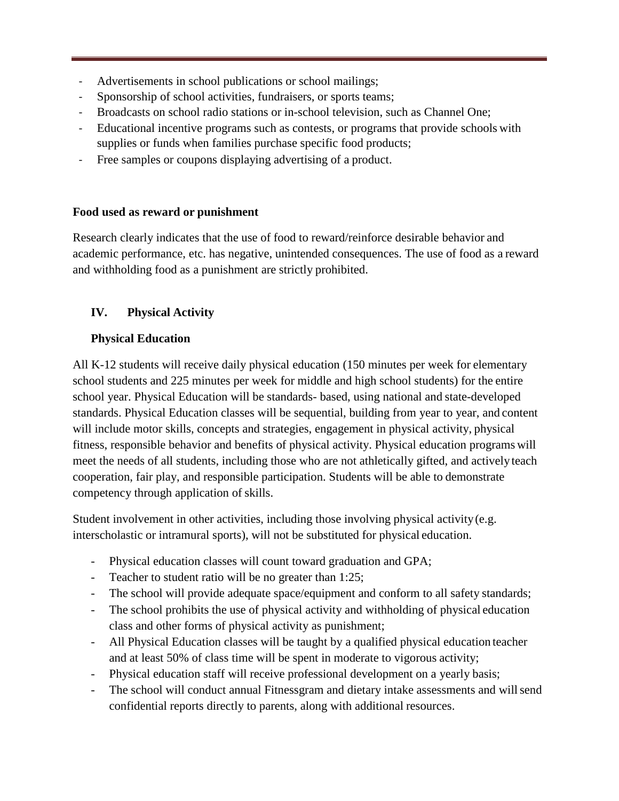- Advertisements in school publications or school mailings;
- Sponsorship of school activities, fundraisers, or sports teams;
- Broadcasts on school radio stations or in-school television, such as Channel One;
- Educational incentive programs such as contests, or programs that provide schools with supplies or funds when families purchase specific food products;
- Free samples or coupons displaying advertising of a product.

### **Food used as reward or punishment**

Research clearly indicates that the use of food to reward/reinforce desirable behavior and academic performance, etc. has negative, unintended consequences. The use of food as a reward and withholding food as a punishment are strictly prohibited.

# **IV. Physical Activity**

### **Physical Education**

All K-12 students will receive daily physical education (150 minutes per week for elementary school students and 225 minutes per week for middle and high school students) for the entire school year. Physical Education will be standards- based, using national and state-developed standards. Physical Education classes will be sequential, building from year to year, and content will include motor skills, concepts and strategies, engagement in physical activity, physical fitness, responsible behavior and benefits of physical activity. Physical education programs will meet the needs of all students, including those who are not athletically gifted, and actively teach cooperation, fair play, and responsible participation. Students will be able to demonstrate competency through application of skills.

Student involvement in other activities, including those involving physical activity(e.g. interscholastic or intramural sports), will not be substituted for physical education.

- Physical education classes will count toward graduation and GPA;
- Teacher to student ratio will be no greater than 1:25;
- The school will provide adequate space/equipment and conform to all safety standards;
- The school prohibits the use of physical activity and withholding of physical education class and other forms of physical activity as punishment;
- All Physical Education classes will be taught by a qualified physical education teacher and at least 50% of class time will be spent in moderate to vigorous activity;
- Physical education staff will receive professional development on a yearly basis;
- The school will conduct annual Fitnessgram and dietary intake assessments and will send confidential reports directly to parents, along with additional resources.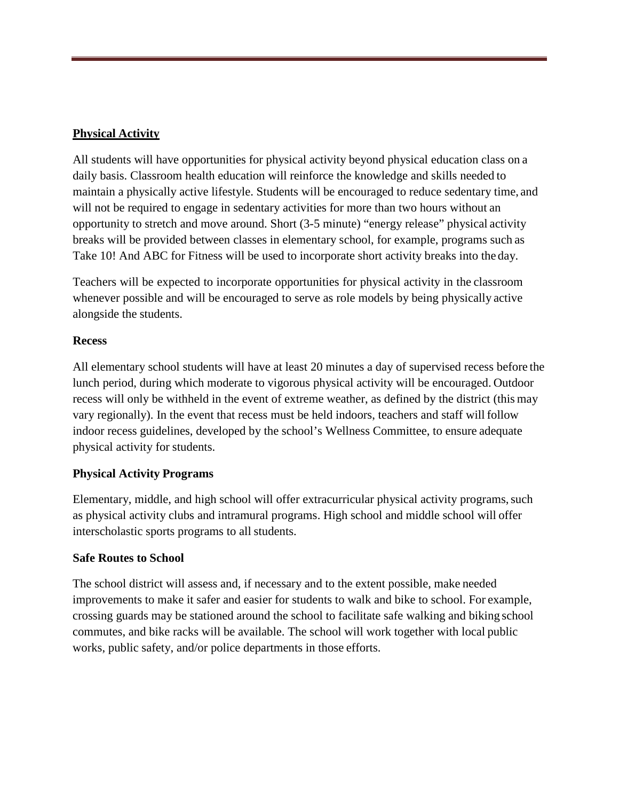### **Physical Activity**

All students will have opportunities for physical activity beyond physical education class on a daily basis. Classroom health education will reinforce the knowledge and skills needed to maintain a physically active lifestyle. Students will be encouraged to reduce sedentary time, and will not be required to engage in sedentary activities for more than two hours without an opportunity to stretch and move around. Short (3-5 minute) "energy release" physical activity breaks will be provided between classes in elementary school, for example, programs such as Take 10! And ABC for Fitness will be used to incorporate short activity breaks into the day.

Teachers will be expected to incorporate opportunities for physical activity in the classroom whenever possible and will be encouraged to serve as role models by being physically active alongside the students.

#### **Recess**

All elementary school students will have at least 20 minutes a day of supervised recess before the lunch period, during which moderate to vigorous physical activity will be encouraged. Outdoor recess will only be withheld in the event of extreme weather, as defined by the district (this may vary regionally). In the event that recess must be held indoors, teachers and staff will follow indoor recess guidelines, developed by the school's Wellness Committee, to ensure adequate physical activity for students.

#### **Physical Activity Programs**

Elementary, middle, and high school will offer extracurricular physical activity programs, such as physical activity clubs and intramural programs. High school and middle school will offer interscholastic sports programs to all students.

#### **Safe Routes to School**

The school district will assess and, if necessary and to the extent possible, make needed improvements to make it safer and easier for students to walk and bike to school. For example, crossing guards may be stationed around the school to facilitate safe walking and biking school commutes, and bike racks will be available. The school will work together with local public works, public safety, and/or police departments in those efforts.